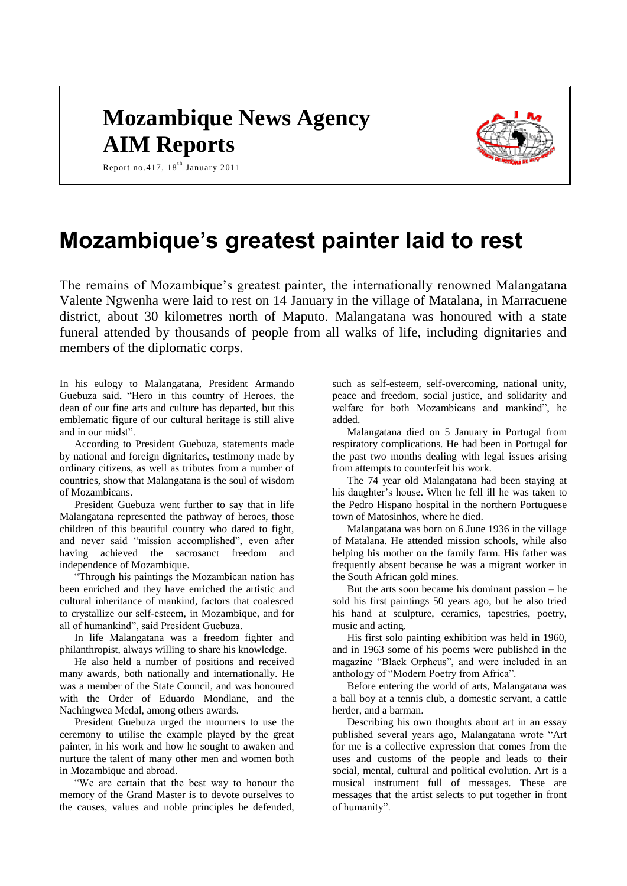# **Mozambique News Agency AIM Reports**



Report no.417,  $18^{th}$  January 2011

## **Mozambique's greatest painter laid to rest**

The remains of Mozambique's greatest painter, the internationally renowned Malangatana Valente Ngwenha were laid to rest on 14 January in the village of Matalana, in Marracuene district, about 30 kilometres north of Maputo. Malangatana was honoured with a state funeral attended by thousands of people from all walks of life, including dignitaries and members of the diplomatic corps.

In his eulogy to Malangatana, President Armando Guebuza said, "Hero in this country of Heroes, the dean of our fine arts and culture has departed, but this emblematic figure of our cultural heritage is still alive and in our midst".

According to President Guebuza, statements made by national and foreign dignitaries, testimony made by ordinary citizens, as well as tributes from a number of countries, show that Malangatana is the soul of wisdom of Mozambicans.

President Guebuza went further to say that in life Malangatana represented the pathway of heroes, those children of this beautiful country who dared to fight, and never said "mission accomplished", even after having achieved the sacrosanct freedom and independence of Mozambique.

"Through his paintings the Mozambican nation has been enriched and they have enriched the artistic and cultural inheritance of mankind, factors that coalesced to crystallize our self-esteem, in Mozambique, and for all of humankind", said President Guebuza.

In life Malangatana was a freedom fighter and philanthropist, always willing to share his knowledge.

He also held a number of positions and received many awards, both nationally and internationally. He was a member of the State Council, and was honoured with the Order of Eduardo Mondlane, and the Nachingwea Medal, among others awards.

President Guebuza urged the mourners to use the ceremony to utilise the example played by the great painter, in his work and how he sought to awaken and nurture the talent of many other men and women both in Mozambique and abroad.

"We are certain that the best way to honour the memory of the Grand Master is to devote ourselves to the causes, values and noble principles he defended, such as self-esteem, self-overcoming, national unity, peace and freedom, social justice, and solidarity and welfare for both Mozambicans and mankind", he added.

Malangatana died on 5 January in Portugal from respiratory complications. He had been in Portugal for the past two months dealing with legal issues arising from attempts to counterfeit his work.

The 74 year old Malangatana had been staying at his daughter's house. When he fell ill he was taken to the Pedro Hispano hospital in the northern Portuguese town of Matosinhos, where he died.

Malangatana was born on 6 June 1936 in the village of Matalana. He attended mission schools, while also helping his mother on the family farm. His father was frequently absent because he was a migrant worker in the South African gold mines.

But the arts soon became his dominant passion – he sold his first paintings 50 years ago, but he also tried his hand at sculpture, ceramics, tapestries, poetry, music and acting.

His first solo painting exhibition was held in 1960, and in 1963 some of his poems were published in the magazine "Black Orpheus", and were included in an anthology of "Modern Poetry from Africa".

Before entering the world of arts, Malangatana was a ball boy at a tennis club, a domestic servant, a cattle herder, and a barman.

Describing his own thoughts about art in an essay published several years ago, Malangatana wrote "Art for me is a collective expression that comes from the uses and customs of the people and leads to their social, mental, cultural and political evolution. Art is a musical instrument full of messages. These are messages that the artist selects to put together in front of humanity".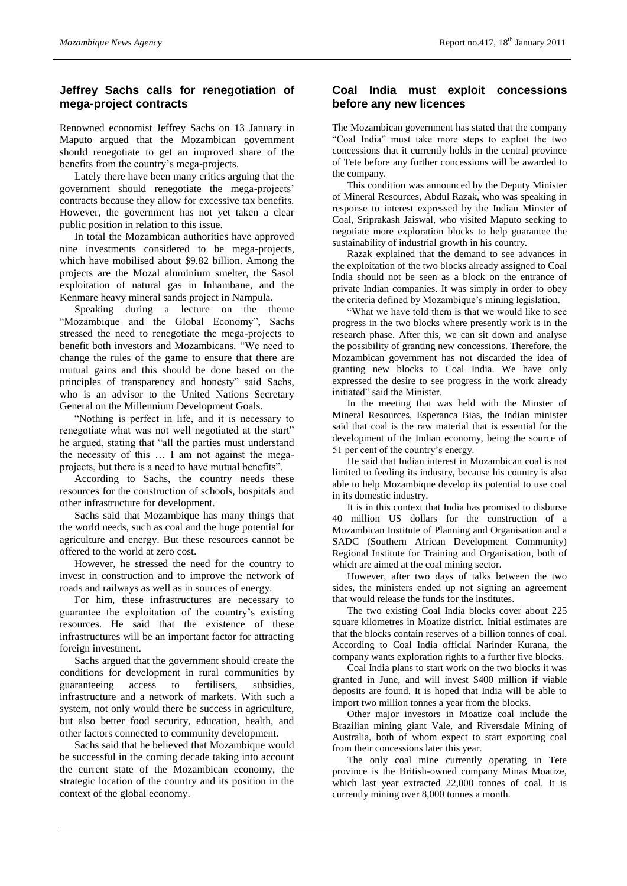## **Jeffrey Sachs calls for renegotiation of mega-project contracts**

Renowned economist Jeffrey Sachs on 13 January in Maputo argued that the Mozambican government should renegotiate to get an improved share of the benefits from the country's mega-projects.

Lately there have been many critics arguing that the government should renegotiate the mega-projects' contracts because they allow for excessive tax benefits. However, the government has not yet taken a clear public position in relation to this issue.

In total the Mozambican authorities have approved nine investments considered to be mega-projects, which have mobilised about \$9.82 billion. Among the projects are the Mozal aluminium smelter, the Sasol exploitation of natural gas in Inhambane, and the Kenmare heavy mineral sands project in Nampula.

Speaking during a lecture on the theme "Mozambique and the Global Economy", Sachs stressed the need to renegotiate the mega-projects to benefit both investors and Mozambicans. "We need to change the rules of the game to ensure that there are mutual gains and this should be done based on the principles of transparency and honesty" said Sachs, who is an advisor to the United Nations Secretary General on the Millennium Development Goals.

"Nothing is perfect in life, and it is necessary to renegotiate what was not well negotiated at the start" he argued, stating that "all the parties must understand the necessity of this … I am not against the megaprojects, but there is a need to have mutual benefits".

According to Sachs, the country needs these resources for the construction of schools, hospitals and other infrastructure for development.

Sachs said that Mozambique has many things that the world needs, such as coal and the huge potential for agriculture and energy. But these resources cannot be offered to the world at zero cost.

However, he stressed the need for the country to invest in construction and to improve the network of roads and railways as well as in sources of energy.

For him, these infrastructures are necessary to guarantee the exploitation of the country's existing resources. He said that the existence of these infrastructures will be an important factor for attracting foreign investment.

Sachs argued that the government should create the conditions for development in rural communities by guaranteeing access to fertilisers, subsidies, infrastructure and a network of markets. With such a system, not only would there be success in agriculture, but also better food security, education, health, and other factors connected to community development.

Sachs said that he believed that Mozambique would be successful in the coming decade taking into account the current state of the Mozambican economy, the strategic location of the country and its position in the context of the global economy.

### **Coal India must exploit concessions before any new licences**

The Mozambican government has stated that the company "Coal India" must take more steps to exploit the two concessions that it currently holds in the central province of Tete before any further concessions will be awarded to the company.

This condition was announced by the Deputy Minister of Mineral Resources, Abdul Razak, who was speaking in response to interest expressed by the Indian Minster of Coal, Sriprakash Jaiswal, who visited Maputo seeking to negotiate more exploration blocks to help guarantee the sustainability of industrial growth in his country.

Razak explained that the demand to see advances in the exploitation of the two blocks already assigned to Coal India should not be seen as a block on the entrance of private Indian companies. It was simply in order to obey the criteria defined by Mozambique's mining legislation.

"What we have told them is that we would like to see progress in the two blocks where presently work is in the research phase. After this, we can sit down and analyse the possibility of granting new concessions. Therefore, the Mozambican government has not discarded the idea of granting new blocks to Coal India. We have only expressed the desire to see progress in the work already initiated" said the Minister.

In the meeting that was held with the Minster of Mineral Resources, Esperanca Bias, the Indian minister said that coal is the raw material that is essential for the development of the Indian economy, being the source of 51 per cent of the country's energy.

He said that Indian interest in Mozambican coal is not limited to feeding its industry, because his country is also able to help Mozambique develop its potential to use coal in its domestic industry.

It is in this context that India has promised to disburse 40 million US dollars for the construction of a Mozambican Institute of Planning and Organisation and a SADC (Southern African Development Community) Regional Institute for Training and Organisation, both of which are aimed at the coal mining sector.

However, after two days of talks between the two sides, the ministers ended up not signing an agreement that would release the funds for the institutes.

The two existing Coal India blocks cover about 225 square kilometres in Moatize district. Initial estimates are that the blocks contain reserves of a billion tonnes of coal. According to Coal India official Narinder Kurana, the company wants exploration rights to a further five blocks.

Coal India plans to start work on the two blocks it was granted in June, and will invest \$400 million if viable deposits are found. It is hoped that India will be able to import two million tonnes a year from the blocks.

Other major investors in Moatize coal include the Brazilian mining giant Vale, and Riversdale Mining of Australia, both of whom expect to start exporting coal from their concessions later this year.

The only coal mine currently operating in Tete province is the British-owned company Minas Moatize, which last year extracted 22,000 tonnes of coal. It is currently mining over 8,000 tonnes a month.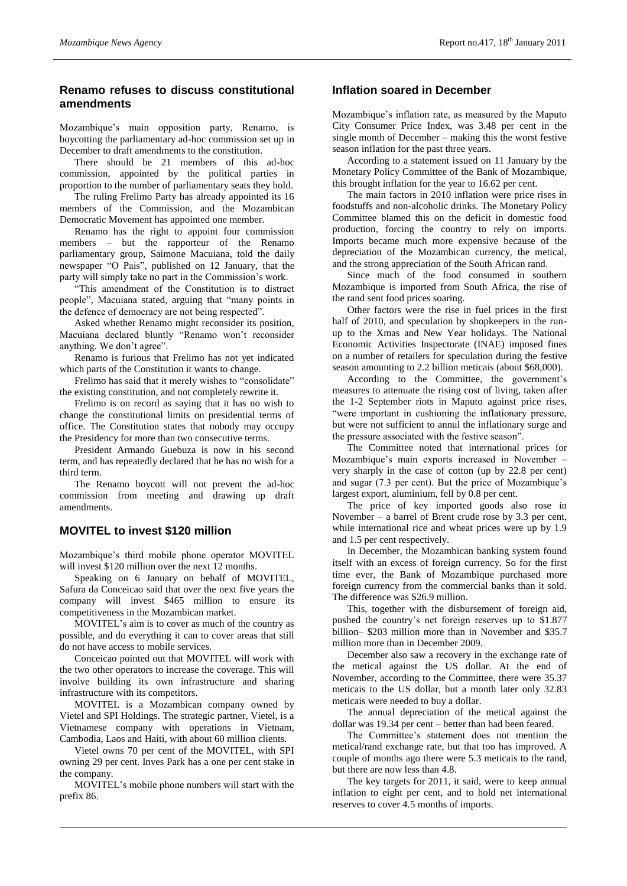## **Renamo refuses to discuss constitutional amendments**

Mozambique's main opposition party, Renamo, is boycotting the parliamentary ad-hoc commission set up in December to draft amendments to the constitution.

There should be 21 members of this ad-hoc commission, appointed by the political parties in proportion to the number of parliamentary seats they hold.

The ruling Frelimo Party has already appointed its 16 members of the Commission, and the Mozambican Democratic Movement has appointed one member.

Renamo has the right to appoint four commission members – but the rapporteur of the Renamo parliamentary group, Saimone Macuiana, told the daily newspaper "O Pais", published on 12 January, that the party will simply take no part in the Commission's work.

"This amendment of the Constitution is to distract people", Macuiana stated, arguing that "many points in the defence of democracy are not being respected".

Asked whether Renamo might reconsider its position, Macuiana declared bluntly "Renamo won't reconsider anything. We don't agree".

Renamo is furious that Frelimo has not yet indicated which parts of the Constitution it wants to change.

Frelimo has said that it merely wishes to "consolidate" the existing constitution, and not completely rewrite it.

Frelimo is on record as saying that it has no wish to change the constitutional limits on presidential terms of office. The Constitution states that nobody may occupy the Presidency for more than two consecutive terms.

President Armando Guebuza is now in his second term, and has repeatedly declared that he has no wish for a third term.

The Renamo boycott will not prevent the ad-hoc commission from meeting and drawing up draft amendments.

## **MOVITEL to invest \$120 million**

Mozambique's third mobile phone operator MOVITEL will invest \$120 million over the next 12 months.

Speaking on 6 January on behalf of MOVITEL, Safura da Conceicao said that over the next five years the company will invest \$465 million to ensure its competitiveness in the Mozambican market.

MOVITEL's aim is to cover as much of the country as possible, and do everything it can to cover areas that still do not have access to mobile services.

Conceicao pointed out that MOVITEL will work with the two other operators to increase the coverage. This will involve building its own infrastructure and sharing infrastructure with its competitors.

MOVITEL is a Mozambican company owned by Vietel and SPI Holdings. The strategic partner, Vietel, is a Vietnamese company with operations in Vietnam, Cambodia, Laos and Haiti, with about 60 million clients.

Vietel owns 70 per cent of the MOVITEL, with SPI owning 29 per cent. Inves Park has a one per cent stake in the company.

MOVITEL's mobile phone numbers will start with the prefix 86.

### **Inflation soared in December**

Mozambique's inflation rate, as measured by the Maputo City Consumer Price Index, was 3.48 per cent in the single month of December – making this the worst festive season inflation for the past three years.

According to a statement issued on 11 January by the Monetary Policy Committee of the Bank of Mozambique, this brought inflation for the year to 16.62 per cent.

The main factors in 2010 inflation were price rises in foodstuffs and non-alcoholic drinks. The Monetary Policy Committee blamed this on the deficit in domestic food production, forcing the country to rely on imports. Imports became much more expensive because of the depreciation of the Mozambican currency, the metical, and the strong appreciation of the South African rand.

Since much of the food consumed in southern Mozambique is imported from South Africa, the rise of the rand sent food prices soaring.

Other factors were the rise in fuel prices in the first half of 2010, and speculation by shopkeepers in the runup to the Xmas and New Year holidays. The National Economic Activities Inspectorate (INAE) imposed fines on a number of retailers for speculation during the festive season amounting to 2.2 billion meticais (about \$68,000).

According to the Committee, the government's measures to attenuate the rising cost of living, taken after the 1-2 September riots in Maputo against price rises, "were important in cushioning the inflationary pressure, but were not sufficient to annul the inflationary surge and the pressure associated with the festive season".

The Committee noted that international prices for Mozambique's main exports increased in November – very sharply in the case of cotton (up by 22.8 per cent) and sugar (7.3 per cent). But the price of Mozambique's largest export, aluminium, fell by 0.8 per cent.

The price of key imported goods also rose in November – a barrel of Brent crude rose by 3.3 per cent, while international rice and wheat prices were up by 1.9 and 1.5 per cent respectively.

In December, the Mozambican banking system found itself with an excess of foreign currency. So for the first time ever, the Bank of Mozambique purchased more foreign currency from the commercial banks than it sold. The difference was \$26.9 million.

This, together with the disbursement of foreign aid, pushed the country's net foreign reserves up to \$1.877 billion– \$203 million more than in November and \$35.7 million more than in December 2009.

December also saw a recovery in the exchange rate of the metical against the US dollar. At the end of November, according to the Committee, there were 35.37 meticais to the US dollar, but a month later only 32.83 meticais were needed to buy a dollar.

The annual depreciation of the metical against the dollar was 19.34 per cent – better than had been feared.

The Committee's statement does not mention the metical/rand exchange rate, but that too has improved. A couple of months ago there were 5.3 meticais to the rand, but there are now less than 4.8.

The key targets for 2011, it said, were to keep annual inflation to eight per cent, and to hold net international reserves to cover 4.5 months of imports.